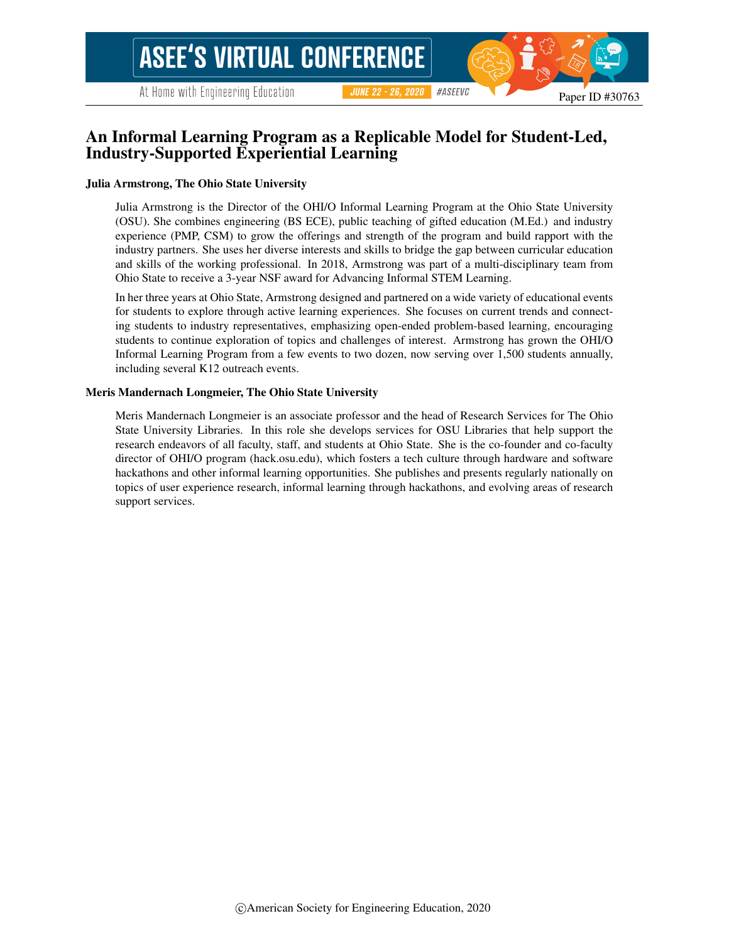At Home with Engineering Education

Paper ID #30763

# An Informal Learning Program as a Replicable Model for Student-Led, Industry-Supported Experiential Learning

#### Julia Armstrong, The Ohio State University

Julia Armstrong is the Director of the OHI/O Informal Learning Program at the Ohio State University (OSU). She combines engineering (BS ECE), public teaching of gifted education (M.Ed.) and industry experience (PMP, CSM) to grow the offerings and strength of the program and build rapport with the industry partners. She uses her diverse interests and skills to bridge the gap between curricular education and skills of the working professional. In 2018, Armstrong was part of a multi-disciplinary team from Ohio State to receive a 3-year NSF award for Advancing Informal STEM Learning.

In her three years at Ohio State, Armstrong designed and partnered on a wide variety of educational events for students to explore through active learning experiences. She focuses on current trends and connecting students to industry representatives, emphasizing open-ended problem-based learning, encouraging students to continue exploration of topics and challenges of interest. Armstrong has grown the OHI/O Informal Learning Program from a few events to two dozen, now serving over 1,500 students annually, including several K12 outreach events.

#### Meris Mandernach Longmeier, The Ohio State University

Meris Mandernach Longmeier is an associate professor and the head of Research Services for The Ohio State University Libraries. In this role she develops services for OSU Libraries that help support the research endeavors of all faculty, staff, and students at Ohio State. She is the co-founder and co-faculty director of OHI/O program (hack.osu.edu), which fosters a tech culture through hardware and software hackathons and other informal learning opportunities. She publishes and presents regularly nationally on topics of user experience research, informal learning through hackathons, and evolving areas of research support services.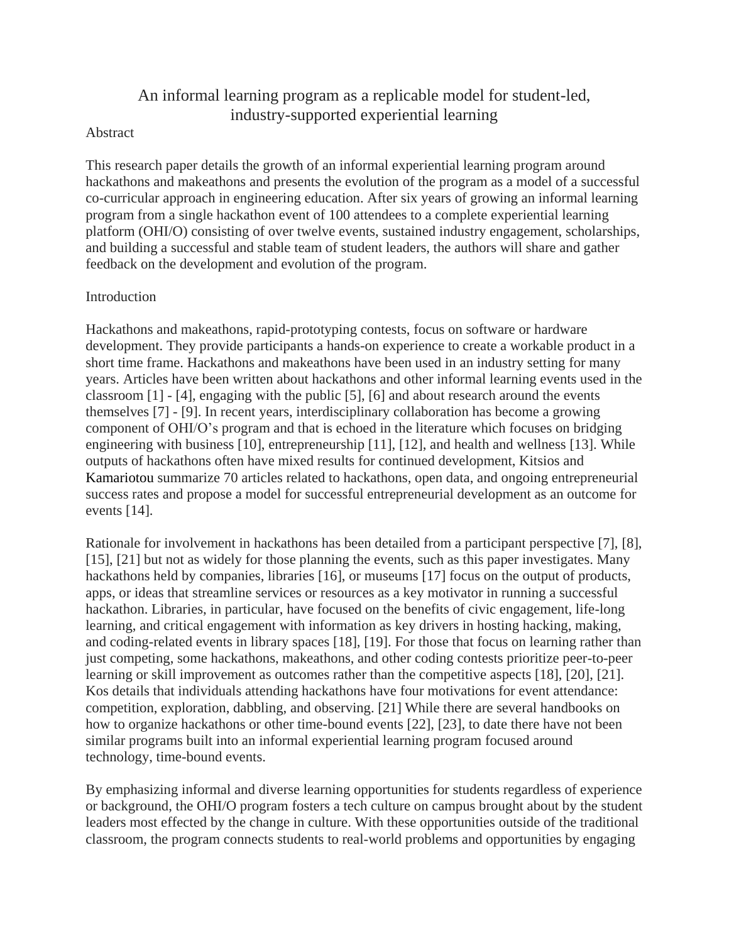# An informal learning program as a replicable model for student-led, industry-supported experiential learning

#### Abstract

This research paper details the growth of an informal experiential learning program around hackathons and makeathons and presents the evolution of the program as a model of a successful co-curricular approach in engineering education. After six years of growing an informal learning program from a single hackathon event of 100 attendees to a complete experiential learning platform (OHI/O) consisting of over twelve events, sustained industry engagement, scholarships, and building a successful and stable team of student leaders, the authors will share and gather feedback on the development and evolution of the program.

### Introduction

Hackathons and makeathons, rapid-prototyping contests, focus on software or hardware development. They provide participants a hands-on experience to create a workable product in a short time frame. Hackathons and makeathons have been used in an industry setting for many years. Articles have been written about hackathons and other informal learning events used in the classroom [1] - [4], engaging with the public [5], [6] and about research around the events themselves [7] - [9]. In recent years, interdisciplinary collaboration has become a growing component of OHI/O's program and that is echoed in the literature which focuses on bridging engineering with business [10], entrepreneurship [11], [12], and health and wellness [13]. While outputs of hackathons often have mixed results for continued development, Kitsios and Kamariotou summarize 70 articles related to hackathons, open data, and ongoing entrepreneurial success rates and propose a model for successful entrepreneurial development as an outcome for events [14].

Rationale for involvement in hackathons has been detailed from a participant perspective [7], [8], [15], [21] but not as widely for those planning the events, such as this paper investigates. Many hackathons held by companies, libraries [16], or museums [17] focus on the output of products, apps, or ideas that streamline services or resources as a key motivator in running a successful hackathon. Libraries, in particular, have focused on the benefits of civic engagement, life-long learning, and critical engagement with information as key drivers in hosting hacking, making, and coding-related events in library spaces [18], [19]. For those that focus on learning rather than just competing, some hackathons, makeathons, and other coding contests prioritize peer-to-peer learning or skill improvement as outcomes rather than the competitive aspects [18], [20], [21]. Kos details that individuals attending hackathons have four motivations for event attendance: competition, exploration, dabbling, and observing. [21] While there are several handbooks on how to organize hackathons or other time-bound events [22], [23], to date there have not been similar programs built into an informal experiential learning program focused around technology, time-bound events.

By emphasizing informal and diverse learning opportunities for students regardless of experience or background, the OHI/O program fosters a tech culture on campus brought about by the student leaders most effected by the change in culture. With these opportunities outside of the traditional classroom, the program connects students to real-world problems and opportunities by engaging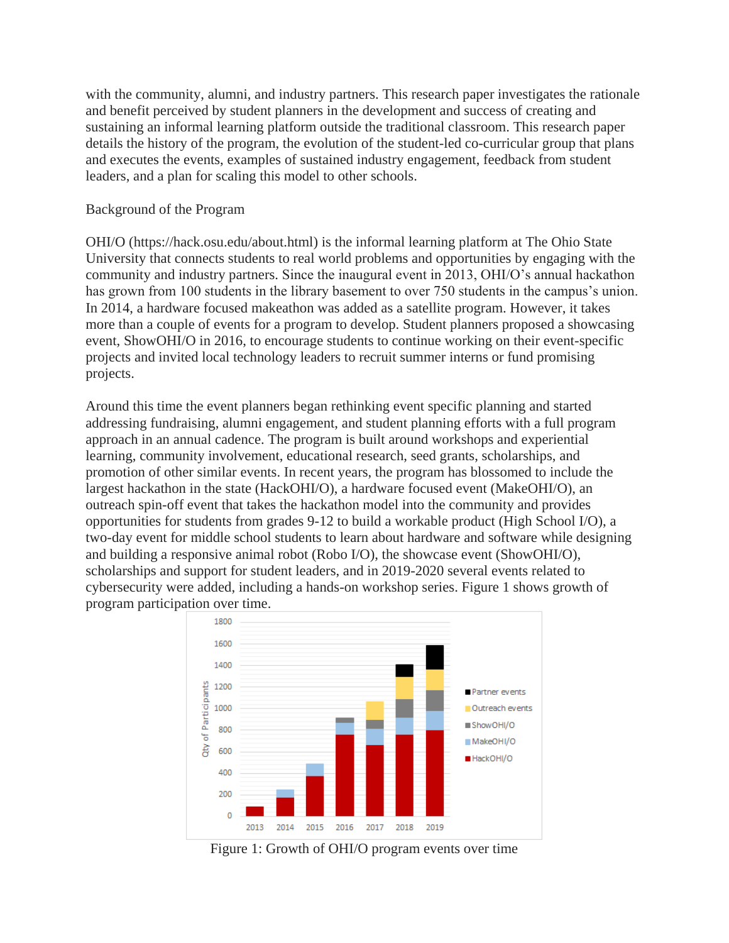with the community, alumni, and industry partners. This research paper investigates the rationale and benefit perceived by student planners in the development and success of creating and sustaining an informal learning platform outside the traditional classroom. This research paper details the history of the program, the evolution of the student-led co-curricular group that plans and executes the events, examples of sustained industry engagement, feedback from student leaders, and a plan for scaling this model to other schools.

#### Background of the Program

OHI/O (https://hack.osu.edu/about.html) is the informal learning platform at The Ohio State University that connects students to real world problems and opportunities by engaging with the community and industry partners. Since the inaugural event in 2013, OHI/O's annual hackathon has grown from 100 students in the library basement to over 750 students in the campus's union. In 2014, a hardware focused makeathon was added as a satellite program. However, it takes more than a couple of events for a program to develop. Student planners proposed a showcasing event, ShowOHI/O in 2016, to encourage students to continue working on their event-specific projects and invited local technology leaders to recruit summer interns or fund promising projects.

Around this time the event planners began rethinking event specific planning and started addressing fundraising, alumni engagement, and student planning efforts with a full program approach in an annual cadence. The program is built around workshops and experiential learning, community involvement, educational research, seed grants, scholarships, and promotion of other similar events. In recent years, the program has blossomed to include the largest hackathon in the state (HackOHI/O), a hardware focused event (MakeOHI/O), an outreach spin-off event that takes the hackathon model into the community and provides opportunities for students from grades 9-12 to build a workable product (High School I/O), a two-day event for middle school students to learn about hardware and software while designing and building a responsive animal robot (Robo I/O), the showcase event (ShowOHI/O), scholarships and support for student leaders, and in 2019-2020 several events related to cybersecurity were added, including a hands-on workshop series. Figure 1 shows growth of program participation over time.



Figure 1: Growth of OHI/O program events over time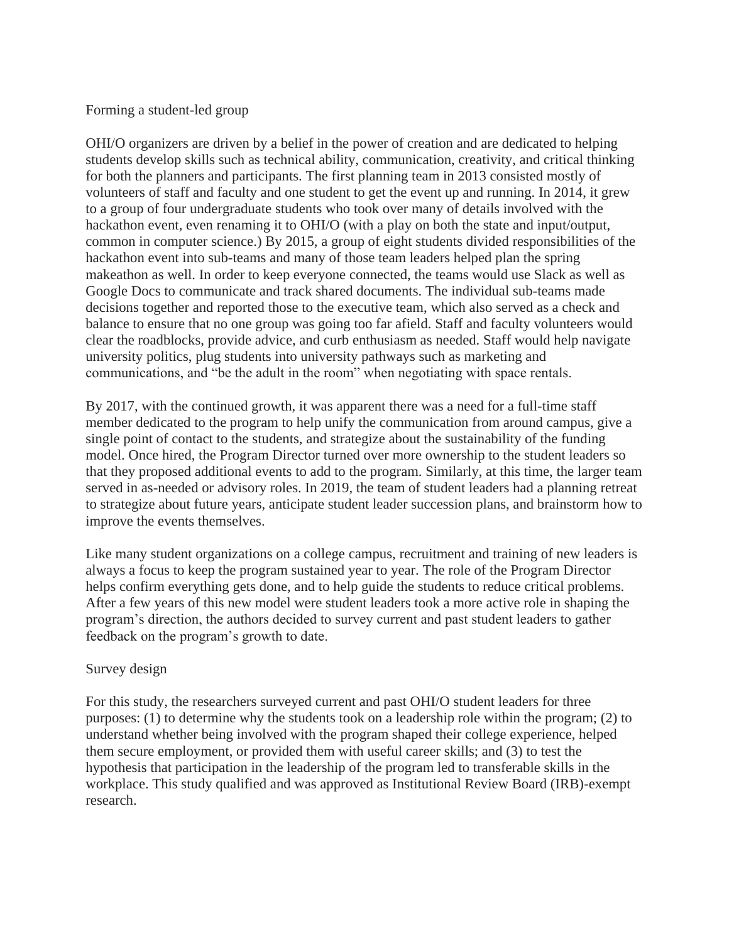# Forming a student-led group

OHI/O organizers are driven by a belief in the power of creation and are dedicated to helping students develop skills such as technical ability, communication, creativity, and critical thinking for both the planners and participants. The first planning team in 2013 consisted mostly of volunteers of staff and faculty and one student to get the event up and running. In 2014, it grew to a group of four undergraduate students who took over many of details involved with the hackathon event, even renaming it to OHI/O (with a play on both the state and input/output, common in computer science.) By 2015, a group of eight students divided responsibilities of the hackathon event into sub-teams and many of those team leaders helped plan the spring makeathon as well. In order to keep everyone connected, the teams would use Slack as well as Google Docs to communicate and track shared documents. The individual sub-teams made decisions together and reported those to the executive team, which also served as a check and balance to ensure that no one group was going too far afield. Staff and faculty volunteers would clear the roadblocks, provide advice, and curb enthusiasm as needed. Staff would help navigate university politics, plug students into university pathways such as marketing and communications, and "be the adult in the room" when negotiating with space rentals.

By 2017, with the continued growth, it was apparent there was a need for a full-time staff member dedicated to the program to help unify the communication from around campus, give a single point of contact to the students, and strategize about the sustainability of the funding model. Once hired, the Program Director turned over more ownership to the student leaders so that they proposed additional events to add to the program. Similarly, at this time, the larger team served in as-needed or advisory roles. In 2019, the team of student leaders had a planning retreat to strategize about future years, anticipate student leader succession plans, and brainstorm how to improve the events themselves.

Like many student organizations on a college campus, recruitment and training of new leaders is always a focus to keep the program sustained year to year. The role of the Program Director helps confirm everything gets done, and to help guide the students to reduce critical problems. After a few years of this new model were student leaders took a more active role in shaping the program's direction, the authors decided to survey current and past student leaders to gather feedback on the program's growth to date.

### Survey design

For this study, the researchers surveyed current and past OHI/O student leaders for three purposes: (1) to determine why the students took on a leadership role within the program; (2) to understand whether being involved with the program shaped their college experience, helped them secure employment, or provided them with useful career skills; and (3) to test the hypothesis that participation in the leadership of the program led to transferable skills in the workplace. This study qualified and was approved as Institutional Review Board (IRB)-exempt research.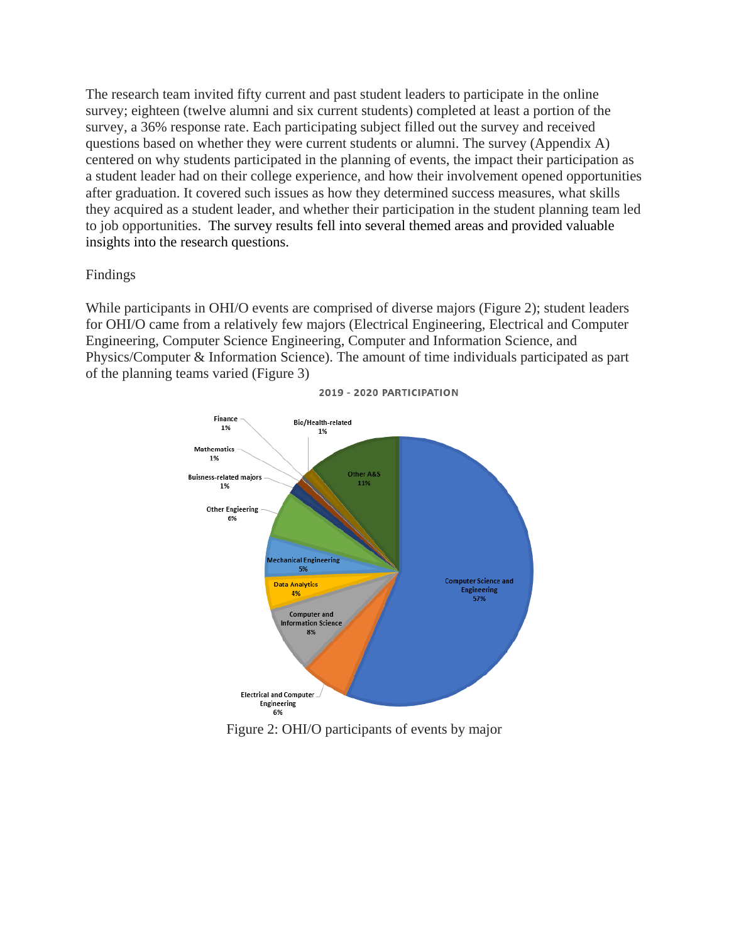The research team invited fifty current and past student leaders to participate in the online survey; eighteen (twelve alumni and six current students) completed at least a portion of the survey, a 36% response rate. Each participating subject filled out the survey and received questions based on whether they were current students or alumni. The survey (Appendix A) centered on why students participated in the planning of events, the impact their participation as a student leader had on their college experience, and how their involvement opened opportunities after graduation. It covered such issues as how they determined success measures, what skills they acquired as a student leader, and whether their participation in the student planning team led to job opportunities. The survey results fell into several themed areas and provided valuable insights into the research questions.

### Findings

While participants in OHI/O events are comprised of diverse majors (Figure 2); student leaders for OHI/O came from a relatively few majors (Electrical Engineering, Electrical and Computer Engineering, Computer Science Engineering, Computer and Information Science, and Physics/Computer & Information Science). The amount of time individuals participated as part of the planning teams varied (Figure 3)



2019 - 2020 PARTICIPATION

Figure 2: OHI/O participants of events by major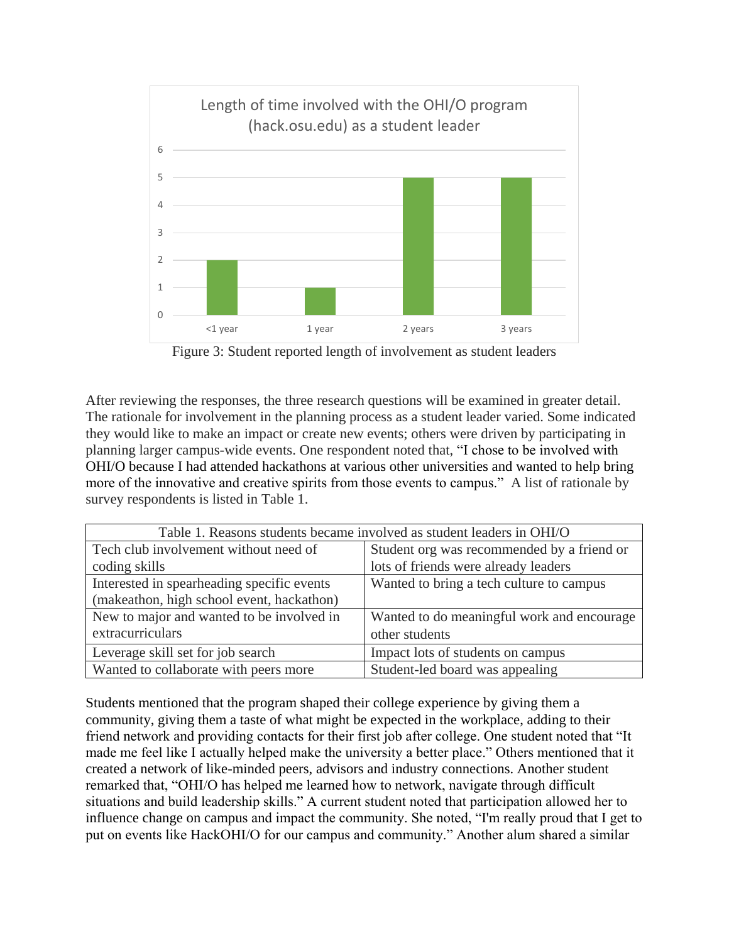

Figure 3: Student reported length of involvement as student leaders

After reviewing the responses, the three research questions will be examined in greater detail. The rationale for involvement in the planning process as a student leader varied. Some indicated they would like to make an impact or create new events; others were driven by participating in planning larger campus-wide events. One respondent noted that, "I chose to be involved with OHI/O because I had attended hackathons at various other universities and wanted to help bring more of the innovative and creative spirits from those events to campus." A list of rationale by survey respondents is listed in Table 1.

| Table 1. Reasons students became involved as student leaders in OHI/O |                                            |
|-----------------------------------------------------------------------|--------------------------------------------|
| Tech club involvement without need of                                 | Student org was recommended by a friend or |
| coding skills                                                         | lots of friends were already leaders       |
| Interested in spearheading specific events                            | Wanted to bring a tech culture to campus   |
| (makeathon, high school event, hackathon)                             |                                            |
| New to major and wanted to be involved in                             | Wanted to do meaningful work and encourage |
| extracurriculars                                                      | other students                             |
| Leverage skill set for job search                                     | Impact lots of students on campus          |
| Wanted to collaborate with peers more                                 | Student-led board was appealing            |

Students mentioned that the program shaped their college experience by giving them a community, giving them a taste of what might be expected in the workplace, adding to their friend network and providing contacts for their first job after college. One student noted that "It made me feel like I actually helped make the university a better place." Others mentioned that it created a network of like-minded peers, advisors and industry connections. Another student remarked that, "OHI/O has helped me learned how to network, navigate through difficult situations and build leadership skills." A current student noted that participation allowed her to influence change on campus and impact the community. She noted, "I'm really proud that I get to put on events like HackOHI/O for our campus and community." Another alum shared a similar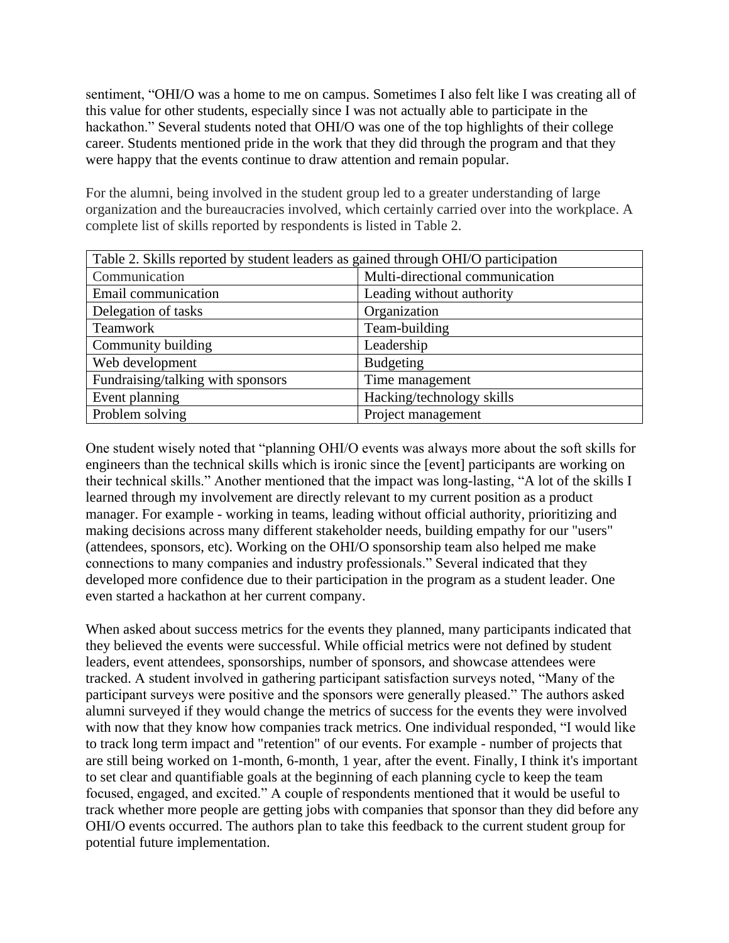sentiment, "OHI/O was a home to me on campus. Sometimes I also felt like I was creating all of this value for other students, especially since I was not actually able to participate in the hackathon." Several students noted that OHI/O was one of the top highlights of their college career. Students mentioned pride in the work that they did through the program and that they were happy that the events continue to draw attention and remain popular.

For the alumni, being involved in the student group led to a greater understanding of large organization and the bureaucracies involved, which certainly carried over into the workplace. A complete list of skills reported by respondents is listed in Table 2.

| Table 2. Skills reported by student leaders as gained through OHI/O participation |                                 |
|-----------------------------------------------------------------------------------|---------------------------------|
| Communication                                                                     | Multi-directional communication |
| Email communication                                                               | Leading without authority       |
| Delegation of tasks                                                               | Organization                    |
| Teamwork                                                                          | Team-building                   |
| Community building                                                                | Leadership                      |
| Web development                                                                   | <b>Budgeting</b>                |
| Fundraising/talking with sponsors                                                 | Time management                 |
| Event planning                                                                    | Hacking/technology skills       |
| Problem solving                                                                   | Project management              |

One student wisely noted that "planning OHI/O events was always more about the soft skills for engineers than the technical skills which is ironic since the [event] participants are working on their technical skills." Another mentioned that the impact was long-lasting, "A lot of the skills I learned through my involvement are directly relevant to my current position as a product manager. For example - working in teams, leading without official authority, prioritizing and making decisions across many different stakeholder needs, building empathy for our "users" (attendees, sponsors, etc). Working on the OHI/O sponsorship team also helped me make connections to many companies and industry professionals." Several indicated that they developed more confidence due to their participation in the program as a student leader. One even started a hackathon at her current company.

When asked about success metrics for the events they planned, many participants indicated that they believed the events were successful. While official metrics were not defined by student leaders, event attendees, sponsorships, number of sponsors, and showcase attendees were tracked. A student involved in gathering participant satisfaction surveys noted, "Many of the participant surveys were positive and the sponsors were generally pleased." The authors asked alumni surveyed if they would change the metrics of success for the events they were involved with now that they know how companies track metrics. One individual responded, "I would like to track long term impact and "retention" of our events. For example - number of projects that are still being worked on 1-month, 6-month, 1 year, after the event. Finally, I think it's important to set clear and quantifiable goals at the beginning of each planning cycle to keep the team focused, engaged, and excited." A couple of respondents mentioned that it would be useful to track whether more people are getting jobs with companies that sponsor than they did before any OHI/O events occurred. The authors plan to take this feedback to the current student group for potential future implementation.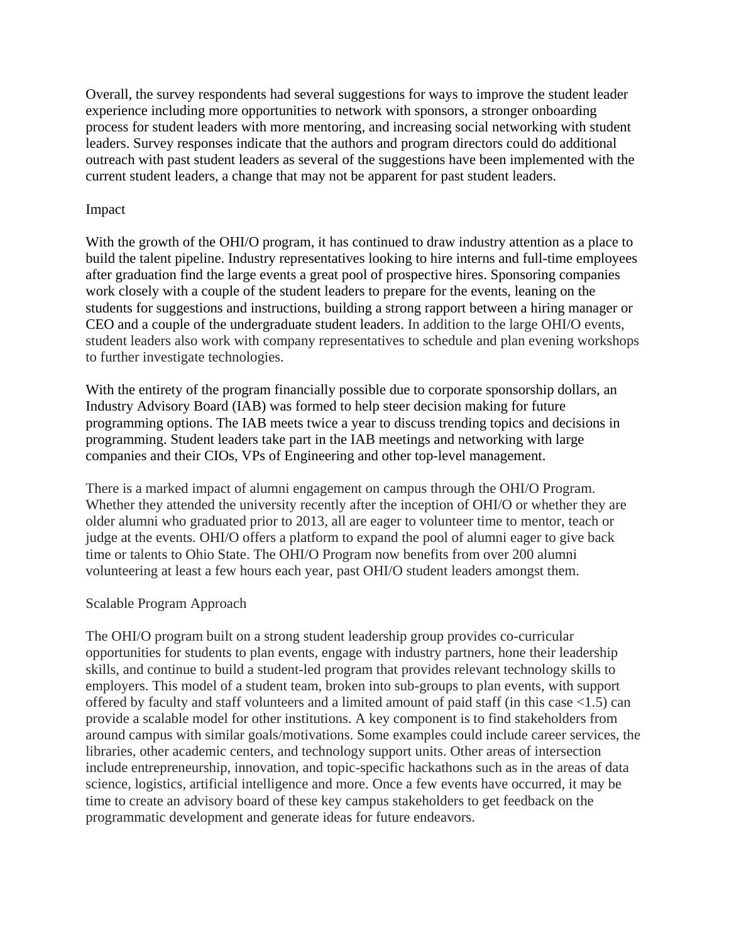Overall, the survey respondents had several suggestions for ways to improve the student leader experience including more opportunities to network with sponsors, a stronger onboarding process for student leaders with more mentoring, and increasing social networking with student leaders. Survey responses indicate that the authors and program directors could do additional outreach with past student leaders as several of the suggestions have been implemented with the current student leaders, a change that may not be apparent for past student leaders.

# Impact

With the growth of the OHI/O program, it has continued to draw industry attention as a place to build the talent pipeline. Industry representatives looking to hire interns and full-time employees after graduation find the large events a great pool of prospective hires. Sponsoring companies work closely with a couple of the student leaders to prepare for the events, leaning on the students for suggestions and instructions, building a strong rapport between a hiring manager or CEO and a couple of the undergraduate student leaders. In addition to the large OHI/O events, student leaders also work with company representatives to schedule and plan evening workshops to further investigate technologies.

With the entirety of the program financially possible due to corporate sponsorship dollars, an Industry Advisory Board (IAB) was formed to help steer decision making for future programming options. The IAB meets twice a year to discuss trending topics and decisions in programming. Student leaders take part in the IAB meetings and networking with large companies and their CIOs, VPs of Engineering and other top-level management.

There is a marked impact of alumni engagement on campus through the OHI/O Program. Whether they attended the university recently after the inception of OHI/O or whether they are older alumni who graduated prior to 2013, all are eager to volunteer time to mentor, teach or judge at the events. OHI/O offers a platform to expand the pool of alumni eager to give back time or talents to Ohio State. The OHI/O Program now benefits from over 200 alumni volunteering at least a few hours each year, past OHI/O student leaders amongst them.

### Scalable Program Approach

The OHI/O program built on a strong student leadership group provides co-curricular opportunities for students to plan events, engage with industry partners, hone their leadership skills, and continue to build a student-led program that provides relevant technology skills to employers. This model of a student team, broken into sub-groups to plan events, with support offered by faculty and staff volunteers and a limited amount of paid staff (in this case <1.5) can provide a scalable model for other institutions. A key component is to find stakeholders from around campus with similar goals/motivations. Some examples could include career services, the libraries, other academic centers, and technology support units. Other areas of intersection include entrepreneurship, innovation, and topic-specific hackathons such as in the areas of data science, logistics, artificial intelligence and more. Once a few events have occurred, it may be time to create an advisory board of these key campus stakeholders to get feedback on the programmatic development and generate ideas for future endeavors.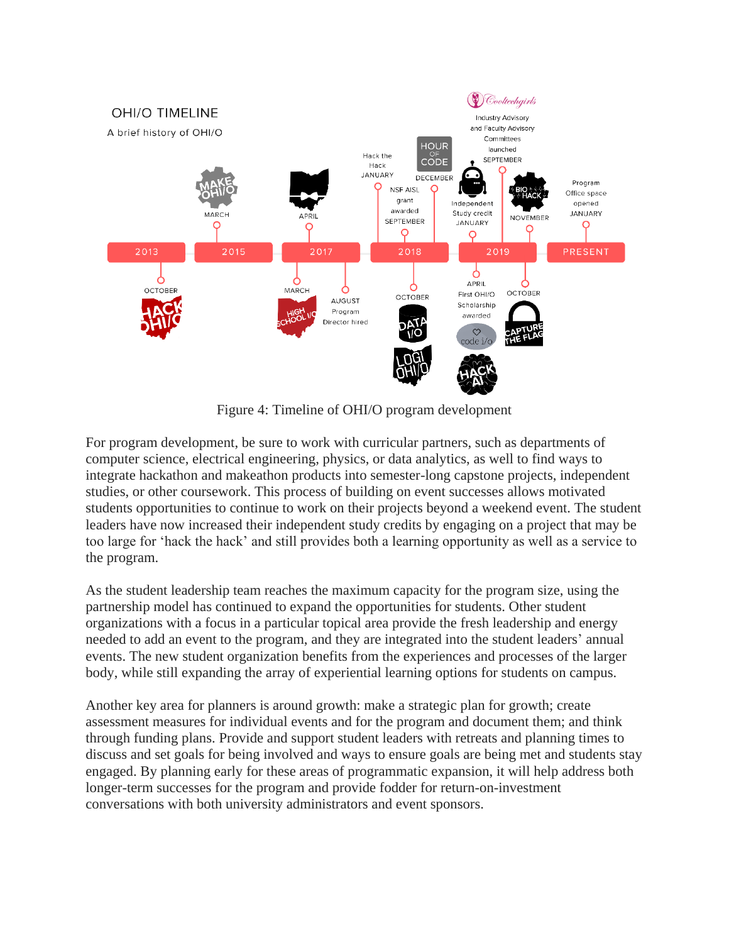

Figure 4: Timeline of OHI/O program development

For program development, be sure to work with curricular partners, such as departments of computer science, electrical engineering, physics, or data analytics, as well to find ways to integrate hackathon and makeathon products into semester-long capstone projects, independent studies, or other coursework. This process of building on event successes allows motivated students opportunities to continue to work on their projects beyond a weekend event. The student leaders have now increased their independent study credits by engaging on a project that may be too large for 'hack the hack' and still provides both a learning opportunity as well as a service to the program.

As the student leadership team reaches the maximum capacity for the program size, using the partnership model has continued to expand the opportunities for students. Other student organizations with a focus in a particular topical area provide the fresh leadership and energy needed to add an event to the program, and they are integrated into the student leaders' annual events. The new student organization benefits from the experiences and processes of the larger body, while still expanding the array of experiential learning options for students on campus.

Another key area for planners is around growth: make a strategic plan for growth; create assessment measures for individual events and for the program and document them; and think through funding plans. Provide and support student leaders with retreats and planning times to discuss and set goals for being involved and ways to ensure goals are being met and students stay engaged. By planning early for these areas of programmatic expansion, it will help address both longer-term successes for the program and provide fodder for return-on-investment conversations with both university administrators and event sponsors.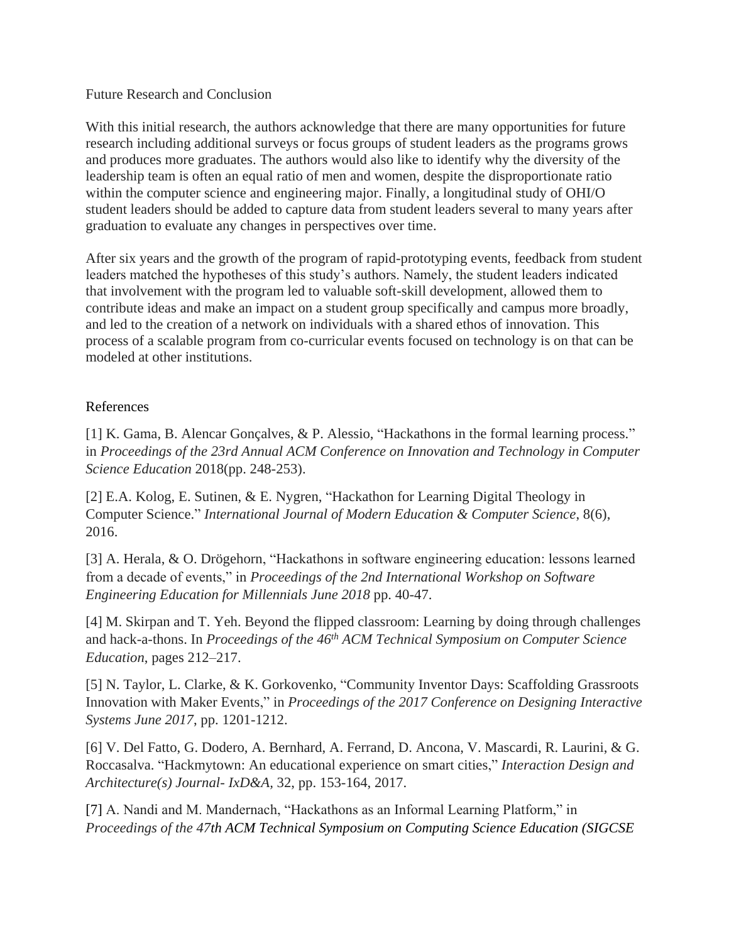### Future Research and Conclusion

With this initial research, the authors acknowledge that there are many opportunities for future research including additional surveys or focus groups of student leaders as the programs grows and produces more graduates. The authors would also like to identify why the diversity of the leadership team is often an equal ratio of men and women, despite the disproportionate ratio within the computer science and engineering major. Finally, a longitudinal study of OHI/O student leaders should be added to capture data from student leaders several to many years after graduation to evaluate any changes in perspectives over time.

After six years and the growth of the program of rapid-prototyping events, feedback from student leaders matched the hypotheses of this study's authors. Namely, the student leaders indicated that involvement with the program led to valuable soft-skill development, allowed them to contribute ideas and make an impact on a student group specifically and campus more broadly, and led to the creation of a network on individuals with a shared ethos of innovation. This process of a scalable program from co-curricular events focused on technology is on that can be modeled at other institutions.

# References

[1] K. Gama, B. Alencar Gonçalves, & P. Alessio, "Hackathons in the formal learning process." in *Proceedings of the 23rd Annual ACM Conference on Innovation and Technology in Computer Science Education* 2018(pp. 248-253).

[2] E.A. Kolog, E. Sutinen, & E. Nygren, "Hackathon for Learning Digital Theology in Computer Science." *International Journal of Modern Education & Computer Science*, 8(6), 2016.

[3] A. Herala, & O. Drögehorn, "Hackathons in software engineering education: lessons learned from a decade of events," in *Proceedings of the 2nd International Workshop on Software Engineering Education for Millennials June 2018* pp. 40-47.

[4] M. Skirpan and T. Yeh. Beyond the flipped classroom: Learning by doing through challenges and hack-a-thons. In *Proceedings of the 46th ACM Technical Symposium on Computer Science Education*, pages 212–217.

[5] N. Taylor, L. Clarke, & K. Gorkovenko, "Community Inventor Days: Scaffolding Grassroots Innovation with Maker Events," in *Proceedings of the 2017 Conference on Designing Interactive Systems June 2017*, pp. 1201-1212.

[6] V. Del Fatto, G. Dodero, A. Bernhard, A. Ferrand, D. Ancona, V. Mascardi, R. Laurini, & G. Roccasalva. "Hackmytown: An educational experience on smart cities," *Interaction Design and Architecture(s) Journal- IxD&A,* 32, pp. 153-164, 2017.

[7] A. Nandi and M. Mandernach, "Hackathons as an Informal Learning Platform," in *Proceedings of the 47th ACM Technical Symposium on Computing Science Education (SIGCSE*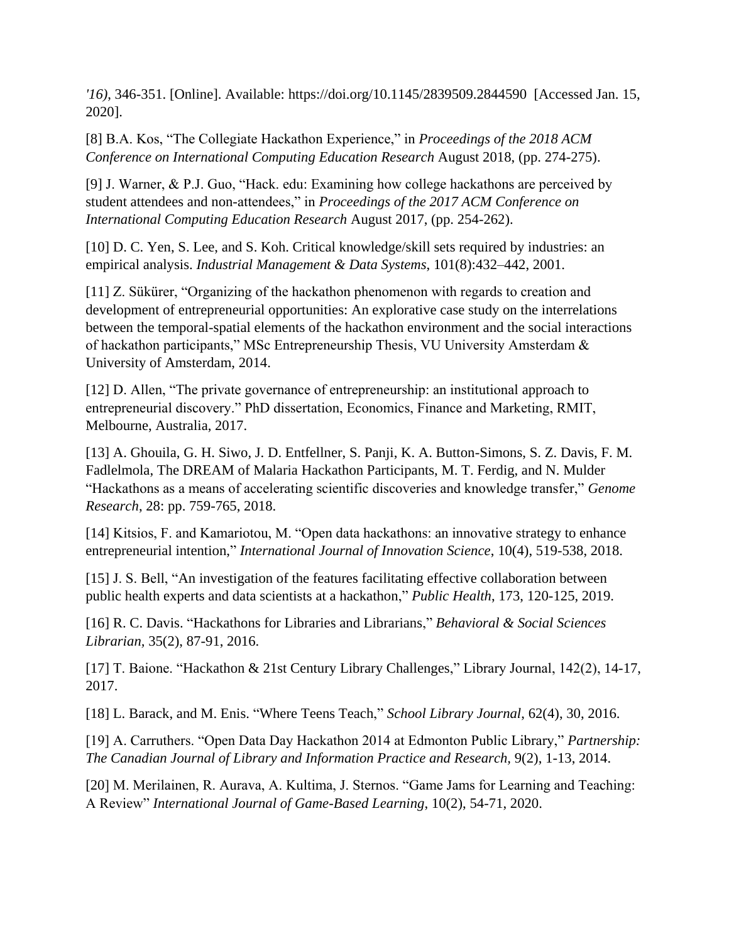*'16)*, 346-351. [Online]. Available:<https://doi.org/10.1145/2839509.2844590>[Accessed Jan. 15, 2020].

[8] B.A. Kos, "The Collegiate Hackathon Experience," in *Proceedings of the 2018 ACM Conference on International Computing Education Research* August 2018, (pp. 274-275).

[9] J. Warner, & P.J. Guo, "Hack. edu: Examining how college hackathons are perceived by student attendees and non-attendees," in *Proceedings of the 2017 ACM Conference on International Computing Education Research* August 2017, (pp. 254-262).

[10] D. C. Yen, S. Lee, and S. Koh. Critical knowledge/skill sets required by industries: an empirical analysis. *Industrial Management & Data Systems*, 101(8):432–442, 2001.

[11] Z. Sükürer, "Organizing of the hackathon phenomenon with regards to creation and development of entrepreneurial opportunities: An explorative case study on the interrelations between the temporal-spatial elements of the hackathon environment and the social interactions of hackathon participants," MSc Entrepreneurship Thesis, VU University Amsterdam & University of Amsterdam, 2014.

[12] D. Allen, "The private governance of entrepreneurship: an institutional approach to entrepreneurial discovery." PhD dissertation, Economics, Finance and Marketing, RMIT, Melbourne, Australia, 2017.

[13] A. Ghouila, G. H. Siwo, J. D. Entfellner, S. Panji, K. A. Button-Simons, S. Z. Davis, F. M. Fadlelmola, The DREAM of Malaria Hackathon Participants, M. T. Ferdig, and N. Mulder "Hackathons as a means of accelerating scientific discoveries and knowledge transfer," *Genome Research*, 28: pp. 759-765, 2018.

[14] Kitsios, F. and Kamariotou, M. "Open data hackathons: an innovative strategy to enhance entrepreneurial intention," *International Journal of Innovation Science*, 10(4), 519-538, 2018.

[15] J. S. Bell, "An investigation of the features facilitating effective collaboration between public health experts and data scientists at a hackathon," *Public Health*, 173, 120-125, 2019.

[16] R. C. Davis. "Hackathons for Libraries and Librarians," *Behavioral & Social Sciences Librarian,* 35(2), 87-91, 2016.

[17] T. Baione. "Hackathon & 21st Century Library Challenges," Library Journal, 142(2), 14-17, 2017.

[18] L. Barack, and M. Enis. "Where Teens Teach," *School Library Journal*, 62(4), 30, 2016.

[19] A. Carruthers. "Open Data Day Hackathon 2014 at Edmonton Public Library," *Partnership: The Canadian Journal of Library and Information Practice and Research,* 9(2), 1-13, 2014.

[20] M. Merilainen, R. Aurava, A. Kultima, J. Sternos. "Game Jams for Learning and Teaching: A Review" *International Journal of Game-Based Learning*, 10(2), 54-71, 2020.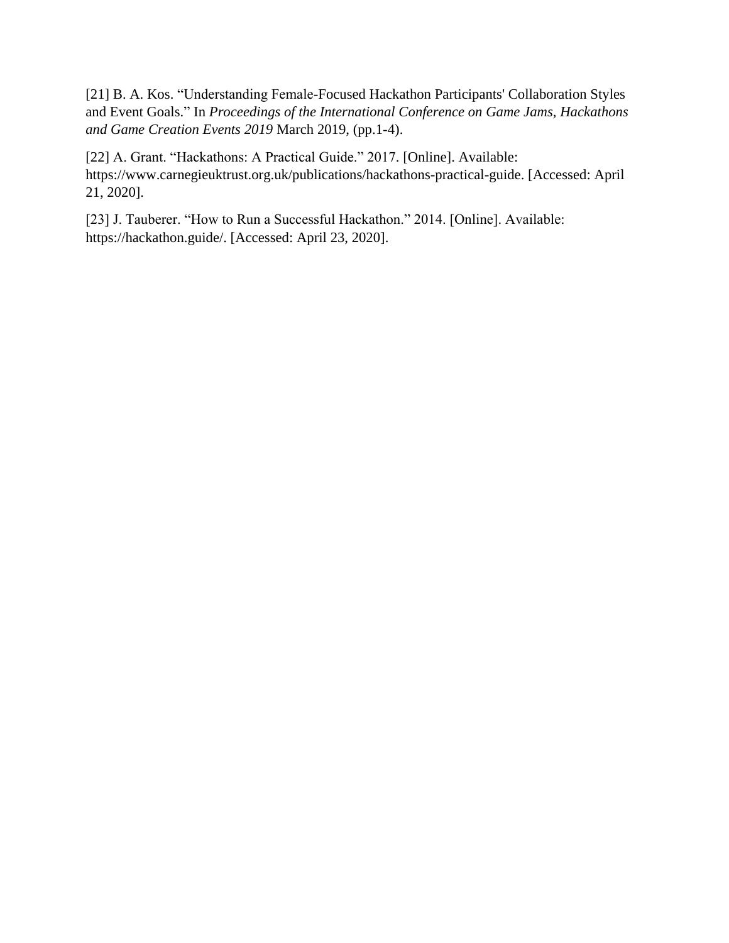[21] B. A. Kos. "Understanding Female-Focused Hackathon Participants' Collaboration Styles and Event Goals." In *Proceedings of the International Conference on Game Jams, Hackathons and Game Creation Events 2019* March 2019, (pp.1-4).

[22] A. Grant. "Hackathons: A Practical Guide." 2017. [Online]. Available: https://www.carnegieuktrust.org.uk/publications/hackathons-practical-guide. [Accessed: April 21, 2020].

[23] J. Tauberer. "How to Run a Successful Hackathon." 2014. [Online]. Available: https://hackathon.guide/. [Accessed: April 23, 2020].